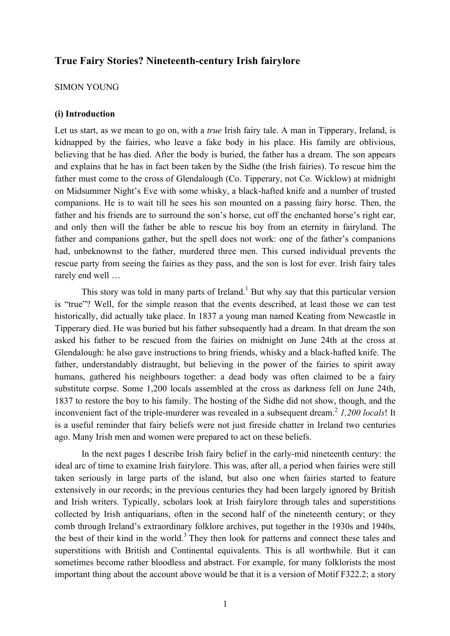# **True Fairy Stories? Nineteenth-century Irish fairylore**

### SIMON YOUNG

### **(i) Introduction**

Let us start, as we mean to go on, with a *true* Irish fairy tale. A man in Tipperary, Ireland, is kidnapped by the fairies, who leave a fake body in his place. His family are oblivious, believing that he has died. After the body is buried, the father has a dream. The son appears and explains that he has in fact been taken by the Sidhe (the Irish fairies). To rescue him the father must come to the cross of Glendalough (Co. Tipperary, not Co. Wicklow) at midnight on Midsummer Night's Eve with some whisky, a black-hafted knife and a number of trusted companions. He is to wait till he sees his son mounted on a passing fairy horse. Then, the father and his friends are to surround the son's horse, cut off the enchanted horse's right ear, and only then will the father be able to rescue his boy from an eternity in fairyland. The father and companions gather, but the spell does not work: one of the father's companions had, unbeknownst to the father, murdered three men. This cursed individual prevents the rescue party from seeing the fairies as they pass, and the son is lost for ever. Irish fairy tales rarely end well …

This story was told in many parts of Ireland.<sup>1</sup> But why say that this particular version is "true"? Well, for the simple reason that the events described, at least those we can test historically, did actually take place. In 1837 a young man named Keating from Newcastle in Tipperary died. He was buried but his father subsequently had a dream. In that dream the son asked his father to be rescued from the fairies on midnight on June 24th at the cross at Glendalough: he also gave instructions to bring friends, whisky and a black-hafted knife. The father, understandably distraught, but believing in the power of the fairies to spirit away humans, gathered his neighbours together: a dead body was often claimed to be a fairy substitute corpse. Some 1,200 locals assembled at the cross as darkness fell on June 24th, 1837 to restore the boy to his family. The hosting of the Sidhe did not show, though, and the inconvenient fact of the triple-murderer was revealed in a subsequent dream.<sup>2</sup> 1,200 locals! It is a useful reminder that fairy beliefs were not just fireside chatter in Ireland two centuries ago. Many Irish men and women were prepared to act on these beliefs.

In the next pages I describe Irish fairy belief in the early-mid nineteenth century: the ideal arc of time to examine Irish fairylore. This was, after all, a period when fairies were still taken seriously in large parts of the island, but also one when fairies started to feature extensively in our records; in the previous centuries they had been largely ignored by British and Irish writers. Typically, scholars look at Irish fairylore through tales and superstitions collected by Irish antiquarians, often in the second half of the nineteenth century; or they comb through Ireland's extraordinary folklore archives, put together in the 1930s and 1940s, the best of their kind in the world.<sup>3</sup> They then look for patterns and connect these tales and superstitions with British and Continental equivalents. This is all worthwhile. But it can sometimes become rather bloodless and abstract. For example, for many folklorists the most important thing about the account above would be that it is a version of Motif F322.2; a story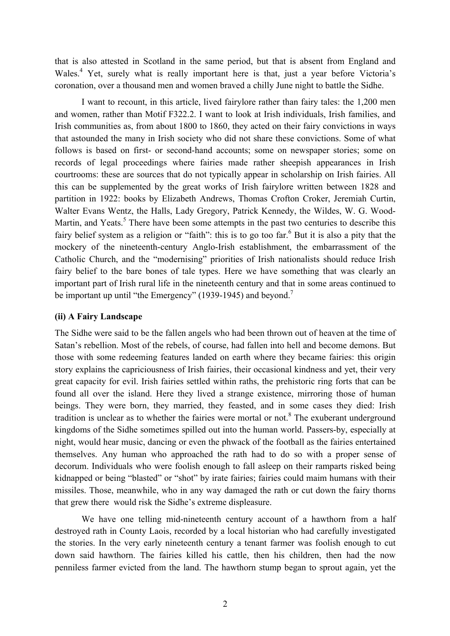that is also attested in Scotland in the same period, but that is absent from England and Wales.<sup>4</sup> Yet, surely what is really important here is that, just a year before Victoria's coronation, over a thousand men and women braved a chilly June night to battle the Sidhe.

I want to recount, in this article, lived fairylore rather than fairy tales: the 1,200 men and women, rather than Motif F322.2. I want to look at Irish individuals, Irish families, and Irish communities as, from about 1800 to 1860, they acted on their fairy convictions in ways that astounded the many in Irish society who did not share these convictions. Some of what follows is based on first- or second-hand accounts; some on newspaper stories; some on records of legal proceedings where fairies made rather sheepish appearances in Irish courtrooms: these are sources that do not typically appear in scholarship on Irish fairies. All this can be supplemented by the great works of Irish fairylore written between 1828 and partition in 1922: books by Elizabeth Andrews, Thomas Crofton Croker, Jeremiah Curtin, Walter Evans Wentz, the Halls, Lady Gregory, Patrick Kennedy, the Wildes, W. G. Wood-Martin, and Yeats.<sup>5</sup> There have been some attempts in the past two centuries to describe this fairy belief system as a religion or "faith": this is to go too far.  $6$  But it is also a pity that the mockery of the nineteenth-century Anglo-Irish establishment, the embarrassment of the Catholic Church, and the "modernising" priorities of Irish nationalists should reduce Irish fairy belief to the bare bones of tale types. Here we have something that was clearly an important part of Irish rural life in the nineteenth century and that in some areas continued to be important up until "the Emergency" (1939-1945) and beyond.<sup>7</sup>

# **(ii) A Fairy Landscape**

The Sidhe were said to be the fallen angels who had been thrown out of heaven at the time of Satan's rebellion. Most of the rebels, of course, had fallen into hell and become demons. But those with some redeeming features landed on earth where they became fairies: this origin story explains the capriciousness of Irish fairies, their occasional kindness and yet, their very great capacity for evil. Irish fairies settled within raths, the prehistoric ring forts that can be found all over the island. Here they lived a strange existence, mirroring those of human beings. They were born, they married, they feasted, and in some cases they died: Irish tradition is unclear as to whether the fairies were mortal or not.<sup>8</sup> The exuberant underground kingdoms of the Sidhe sometimes spilled out into the human world. Passers-by, especially at night, would hear music, dancing or even the phwack of the football as the fairies entertained themselves. Any human who approached the rath had to do so with a proper sense of decorum. Individuals who were foolish enough to fall asleep on their ramparts risked being kidnapped or being "blasted" or "shot" by irate fairies; fairies could maim humans with their missiles. Those, meanwhile, who in any way damaged the rath or cut down the fairy thorns that grew there would risk the Sidhe's extreme displeasure.

We have one telling mid-nineteenth century account of a hawthorn from a half destroyed rath in County Laois, recorded by a local historian who had carefully investigated the stories. In the very early nineteenth century a tenant farmer was foolish enough to cut down said hawthorn. The fairies killed his cattle, then his children, then had the now penniless farmer evicted from the land. The hawthorn stump began to sprout again, yet the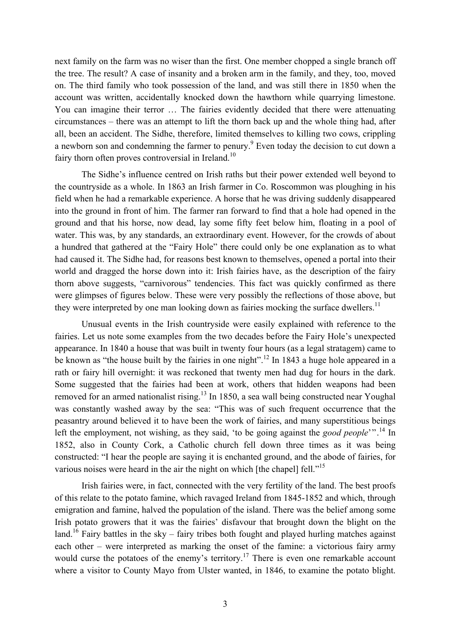next family on the farm was no wiser than the first. One member chopped a single branch off the tree. The result? A case of insanity and a broken arm in the family, and they, too, moved on. The third family who took possession of the land, and was still there in 1850 when the account was written, accidentally knocked down the hawthorn while quarrying limestone. You can imagine their terror … The fairies evidently decided that there were attenuating circumstances – there was an attempt to lift the thorn back up and the whole thing had, after all, been an accident. The Sidhe, therefore, limited themselves to killing two cows, crippling a newborn son and condemning the farmer to penury.<sup>9</sup> Even today the decision to cut down a fairy thorn often proves controversial in Ireland.<sup>10</sup>

The Sidhe's influence centred on Irish raths but their power extended well beyond to the countryside as a whole. In 1863 an Irish farmer in Co. Roscommon was ploughing in his field when he had a remarkable experience. A horse that he was driving suddenly disappeared into the ground in front of him. The farmer ran forward to find that a hole had opened in the ground and that his horse, now dead, lay some fifty feet below him, floating in a pool of water. This was, by any standards, an extraordinary event. However, for the crowds of about a hundred that gathered at the "Fairy Hole" there could only be one explanation as to what had caused it. The Sidhe had, for reasons best known to themselves, opened a portal into their world and dragged the horse down into it: Irish fairies have, as the description of the fairy thorn above suggests, "carnivorous" tendencies. This fact was quickly confirmed as there were glimpses of figures below. These were very possibly the reflections of those above, but they were interpreted by one man looking down as fairies mocking the surface dwellers.<sup>11</sup>

Unusual events in the Irish countryside were easily explained with reference to the fairies. Let us note some examples from the two decades before the Fairy Hole's unexpected appearance. In 1840 a house that was built in twenty four hours (as a legal stratagem) came to be known as "the house built by the fairies in one night".<sup>12</sup> In 1843 a huge hole appeared in a rath or fairy hill overnight: it was reckoned that twenty men had dug for hours in the dark. Some suggested that the fairies had been at work, others that hidden weapons had been removed for an armed nationalist rising.<sup>13</sup> In 1850, a sea wall being constructed near Youghal was constantly washed away by the sea: "This was of such frequent occurrence that the peasantry around believed it to have been the work of fairies, and many superstitious beings left the employment, not wishing, as they said, 'to be going against the *good people*'".<sup>14</sup> In 1852, also in County Cork, a Catholic church fell down three times as it was being constructed: "I hear the people are saying it is enchanted ground, and the abode of fairies, for various noises were heard in the air the night on which [the chapel] fell."<sup>15</sup>

Irish fairies were, in fact, connected with the very fertility of the land. The best proofs of this relate to the potato famine, which ravaged Ireland from 1845-1852 and which, through emigration and famine, halved the population of the island. There was the belief among some Irish potato growers that it was the fairies' disfavour that brought down the blight on the land.<sup>16</sup> Fairy battles in the sky – fairy tribes both fought and played hurling matches against each other – were interpreted as marking the onset of the famine: a victorious fairy army would curse the potatoes of the enemy's territory.<sup>17</sup> There is even one remarkable account where a visitor to County Mayo from Ulster wanted, in 1846, to examine the potato blight.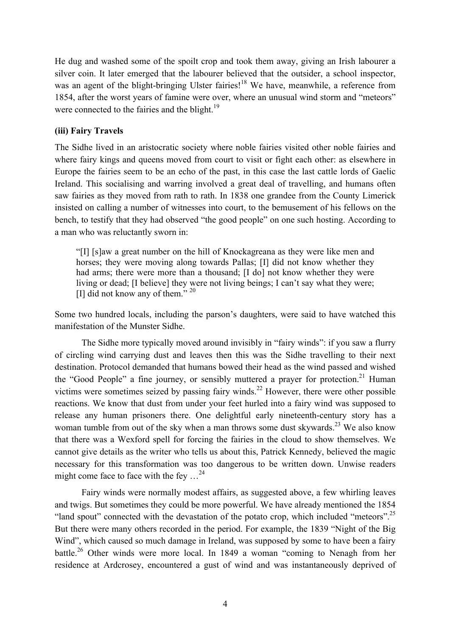He dug and washed some of the spoilt crop and took them away, giving an Irish labourer a silver coin. It later emerged that the labourer believed that the outsider, a school inspector, was an agent of the blight-bringing Ulster fairies!<sup>18</sup> We have, meanwhile, a reference from 1854, after the worst years of famine were over, where an unusual wind storm and "meteors" were connected to the fairies and the blight.<sup>19</sup>

# **(iii) Fairy Travels**

The Sidhe lived in an aristocratic society where noble fairies visited other noble fairies and where fairy kings and queens moved from court to visit or fight each other: as elsewhere in Europe the fairies seem to be an echo of the past, in this case the last cattle lords of Gaelic Ireland. This socialising and warring involved a great deal of travelling, and humans often saw fairies as they moved from rath to rath. In 1838 one grandee from the County Limerick insisted on calling a number of witnesses into court, to the bemusement of his fellows on the bench, to testify that they had observed "the good people" on one such hosting. According to a man who was reluctantly sworn in:

"[I] [s]aw a great number on the hill of Knockagreana as they were like men and horses; they were moving along towards Pallas; [I] did not know whether they had arms; there were more than a thousand; [I do] not know whether they were living or dead; [I believe] they were not living beings; I can't say what they were; [I] did not know any of them." 20

Some two hundred locals, including the parson's daughters, were said to have watched this manifestation of the Munster Sidhe.

The Sidhe more typically moved around invisibly in "fairy winds": if you saw a flurry of circling wind carrying dust and leaves then this was the Sidhe travelling to their next destination. Protocol demanded that humans bowed their head as the wind passed and wished the "Good People" a fine journey, or sensibly muttered a prayer for protection.<sup>21</sup> Human victims were sometimes seized by passing fairy winds.<sup>22</sup> However, there were other possible reactions. We know that dust from under your feet hurled into a fairy wind was supposed to release any human prisoners there. One delightful early nineteenth-century story has a woman tumble from out of the sky when a man throws some dust skywards.<sup>23</sup> We also know that there was a Wexford spell for forcing the fairies in the cloud to show themselves. We cannot give details as the writer who tells us about this, Patrick Kennedy, believed the magic necessary for this transformation was too dangerous to be written down. Unwise readers might come face to face with the fey …24

Fairy winds were normally modest affairs, as suggested above, a few whirling leaves and twigs. But sometimes they could be more powerful. We have already mentioned the 1854 "land spout" connected with the devastation of the potato crop, which included "meteors".<sup>25</sup> But there were many others recorded in the period. For example, the 1839 "Night of the Big Wind", which caused so much damage in Ireland, was supposed by some to have been a fairy battle.<sup>26</sup> Other winds were more local. In 1849 a woman "coming to Nenagh from her residence at Ardcrosey, encountered a gust of wind and was instantaneously deprived of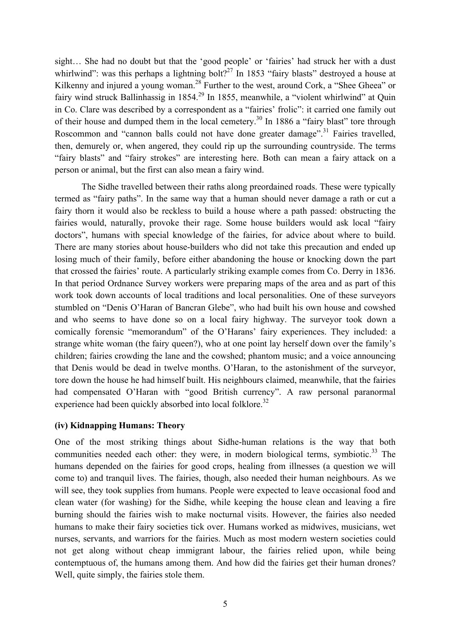sight… She had no doubt but that the 'good people' or 'fairies' had struck her with a dust whirlwind": was this perhaps a lightning bolt?<sup>27</sup> In 1853 "fairy blasts" destroyed a house at Kilkenny and injured a young woman.<sup>28</sup> Further to the west, around Cork, a "Shee Gheea" or fairy wind struck Ballinhassig in 1854.<sup>29</sup> In 1855, meanwhile, a "violent whirlwind" at Quin in Co. Clare was described by a correspondent as a "fairies' frolic": it carried one family out of their house and dumped them in the local cemetery.<sup>30</sup> In 1886 a "fairy blast" tore through Roscommon and "cannon balls could not have done greater damage".<sup>31</sup> Fairies travelled, then, demurely or, when angered, they could rip up the surrounding countryside. The terms "fairy blasts" and "fairy strokes" are interesting here. Both can mean a fairy attack on a person or animal, but the first can also mean a fairy wind.

The Sidhe travelled between their raths along preordained roads. These were typically termed as "fairy paths". In the same way that a human should never damage a rath or cut a fairy thorn it would also be reckless to build a house where a path passed: obstructing the fairies would, naturally, provoke their rage. Some house builders would ask local "fairy doctors", humans with special knowledge of the fairies, for advice about where to build. There are many stories about house-builders who did not take this precaution and ended up losing much of their family, before either abandoning the house or knocking down the part that crossed the fairies' route. A particularly striking example comes from Co. Derry in 1836. In that period Ordnance Survey workers were preparing maps of the area and as part of this work took down accounts of local traditions and local personalities. One of these surveyors stumbled on "Denis O'Haran of Bancran Glebe", who had built his own house and cowshed and who seems to have done so on a local fairy highway. The surveyor took down a comically forensic "memorandum" of the O'Harans' fairy experiences. They included: a strange white woman (the fairy queen?), who at one point lay herself down over the family's children; fairies crowding the lane and the cowshed; phantom music; and a voice announcing that Denis would be dead in twelve months. O'Haran, to the astonishment of the surveyor, tore down the house he had himself built. His neighbours claimed, meanwhile, that the fairies had compensated O'Haran with "good British currency". A raw personal paranormal experience had been quickly absorbed into local folklore.<sup>32</sup>

# **(iv) Kidnapping Humans: Theory**

One of the most striking things about Sidhe-human relations is the way that both communities needed each other: they were, in modern biological terms, symbiotic.<sup>33</sup> The humans depended on the fairies for good crops, healing from illnesses (a question we will come to) and tranquil lives. The fairies, though, also needed their human neighbours. As we will see, they took supplies from humans. People were expected to leave occasional food and clean water (for washing) for the Sidhe, while keeping the house clean and leaving a fire burning should the fairies wish to make nocturnal visits. However, the fairies also needed humans to make their fairy societies tick over. Humans worked as midwives, musicians, wet nurses, servants, and warriors for the fairies. Much as most modern western societies could not get along without cheap immigrant labour, the fairies relied upon, while being contemptuous of, the humans among them. And how did the fairies get their human drones? Well, quite simply, the fairies stole them.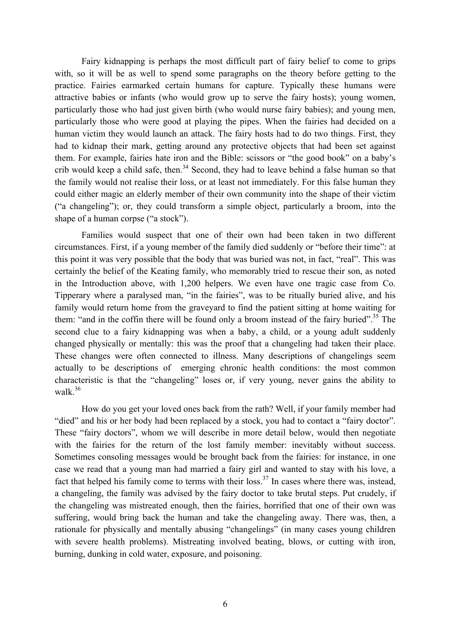Fairy kidnapping is perhaps the most difficult part of fairy belief to come to grips with, so it will be as well to spend some paragraphs on the theory before getting to the practice. Fairies earmarked certain humans for capture. Typically these humans were attractive babies or infants (who would grow up to serve the fairy hosts); young women, particularly those who had just given birth (who would nurse fairy babies); and young men, particularly those who were good at playing the pipes. When the fairies had decided on a human victim they would launch an attack. The fairy hosts had to do two things. First, they had to kidnap their mark, getting around any protective objects that had been set against them. For example, fairies hate iron and the Bible: scissors or "the good book" on a baby's crib would keep a child safe, then.<sup>34</sup> Second, they had to leave behind a false human so that the family would not realise their loss, or at least not immediately. For this false human they could either magic an elderly member of their own community into the shape of their victim ("a changeling"); or, they could transform a simple object, particularly a broom, into the shape of a human corpse ("a stock").

Families would suspect that one of their own had been taken in two different circumstances. First, if a young member of the family died suddenly or "before their time": at this point it was very possible that the body that was buried was not, in fact, "real". This was certainly the belief of the Keating family, who memorably tried to rescue their son, as noted in the Introduction above, with 1,200 helpers. We even have one tragic case from Co. Tipperary where a paralysed man, "in the fairies", was to be ritually buried alive, and his family would return home from the graveyard to find the patient sitting at home waiting for them: "and in the coffin there will be found only a broom instead of the fairy buried".<sup>35</sup> The second clue to a fairy kidnapping was when a baby, a child, or a young adult suddenly changed physically or mentally: this was the proof that a changeling had taken their place. These changes were often connected to illness. Many descriptions of changelings seem actually to be descriptions of emerging chronic health conditions: the most common characteristic is that the "changeling" loses or, if very young, never gains the ability to walk.<sup>36</sup>

How do you get your loved ones back from the rath? Well, if your family member had "died" and his or her body had been replaced by a stock, you had to contact a "fairy doctor". These "fairy doctors", whom we will describe in more detail below, would then negotiate with the fairies for the return of the lost family member: inevitably without success. Sometimes consoling messages would be brought back from the fairies: for instance, in one case we read that a young man had married a fairy girl and wanted to stay with his love, a fact that helped his family come to terms with their loss.<sup>37</sup> In cases where there was, instead, a changeling, the family was advised by the fairy doctor to take brutal steps. Put crudely, if the changeling was mistreated enough, then the fairies, horrified that one of their own was suffering, would bring back the human and take the changeling away. There was, then, a rationale for physically and mentally abusing "changelings" (in many cases young children with severe health problems). Mistreating involved beating, blows, or cutting with iron, burning, dunking in cold water, exposure, and poisoning.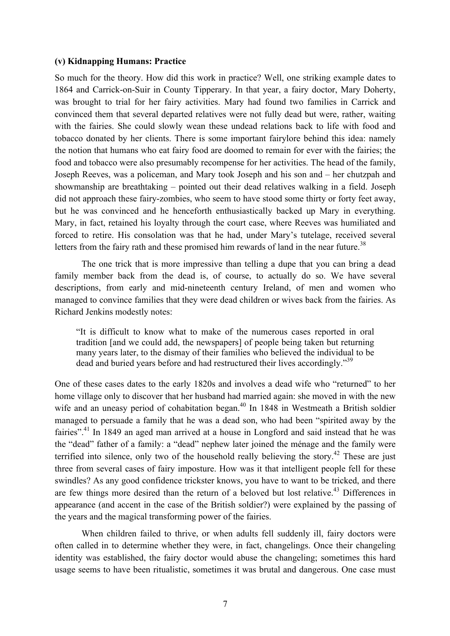### **(v) Kidnapping Humans: Practice**

So much for the theory. How did this work in practice? Well, one striking example dates to 1864 and Carrick-on-Suir in County Tipperary. In that year, a fairy doctor, Mary Doherty, was brought to trial for her fairy activities. Mary had found two families in Carrick and convinced them that several departed relatives were not fully dead but were, rather, waiting with the fairies. She could slowly wean these undead relations back to life with food and tobacco donated by her clients. There is some important fairylore behind this idea: namely the notion that humans who eat fairy food are doomed to remain for ever with the fairies; the food and tobacco were also presumably recompense for her activities. The head of the family, Joseph Reeves, was a policeman, and Mary took Joseph and his son and – her chutzpah and showmanship are breathtaking – pointed out their dead relatives walking in a field. Joseph did not approach these fairy-zombies, who seem to have stood some thirty or forty feet away, but he was convinced and he henceforth enthusiastically backed up Mary in everything. Mary, in fact, retained his loyalty through the court case, where Reeves was humiliated and forced to retire. His consolation was that he had, under Mary's tutelage, received several letters from the fairy rath and these promised him rewards of land in the near future.<sup>38</sup>

The one trick that is more impressive than telling a dupe that you can bring a dead family member back from the dead is, of course, to actually do so. We have several descriptions, from early and mid-nineteenth century Ireland, of men and women who managed to convince families that they were dead children or wives back from the fairies. As Richard Jenkins modestly notes:

"It is difficult to know what to make of the numerous cases reported in oral tradition [and we could add, the newspapers] of people being taken but returning many years later, to the dismay of their families who believed the individual to be dead and buried years before and had restructured their lives accordingly."<sup>39</sup>

One of these cases dates to the early 1820s and involves a dead wife who "returned" to her home village only to discover that her husband had married again: she moved in with the new wife and an uneasy period of cohabitation began.<sup>40</sup> In 1848 in Westmeath a British soldier managed to persuade a family that he was a dead son, who had been "spirited away by the fairies".<sup>41</sup> In 1849 an aged man arrived at a house in Longford and said instead that he was the "dead" father of a family: a "dead" nephew later joined the ménage and the family were terrified into silence, only two of the household really believing the story.<sup>42</sup> These are just three from several cases of fairy imposture. How was it that intelligent people fell for these swindles? As any good confidence trickster knows, you have to want to be tricked, and there are few things more desired than the return of a beloved but lost relative.<sup>43</sup> Differences in appearance (and accent in the case of the British soldier?) were explained by the passing of the years and the magical transforming power of the fairies.

When children failed to thrive, or when adults fell suddenly ill, fairy doctors were often called in to determine whether they were, in fact, changelings. Once their changeling identity was established, the fairy doctor would abuse the changeling; sometimes this hard usage seems to have been ritualistic, sometimes it was brutal and dangerous. One case must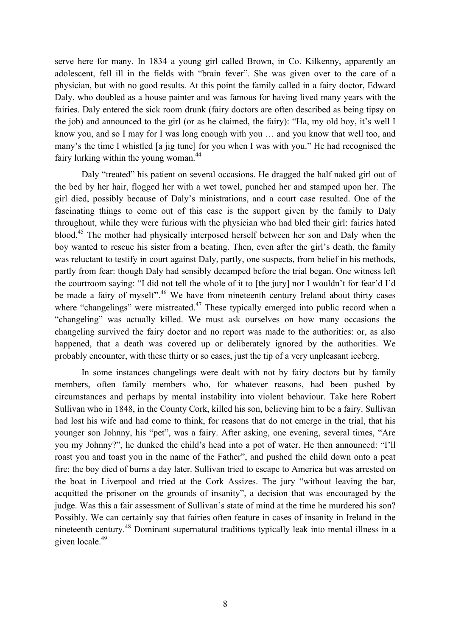serve here for many. In 1834 a young girl called Brown, in Co. Kilkenny, apparently an adolescent, fell ill in the fields with "brain fever". She was given over to the care of a physician, but with no good results. At this point the family called in a fairy doctor, Edward Daly, who doubled as a house painter and was famous for having lived many years with the fairies. Daly entered the sick room drunk (fairy doctors are often described as being tipsy on the job) and announced to the girl (or as he claimed, the fairy): "Ha, my old boy, it's well I know you, and so I may for I was long enough with you … and you know that well too, and many's the time I whistled [a jig tune] for you when I was with you." He had recognised the fairy lurking within the young woman.<sup>44</sup>

Daly "treated" his patient on several occasions. He dragged the half naked girl out of the bed by her hair, flogged her with a wet towel, punched her and stamped upon her. The girl died, possibly because of Daly's ministrations, and a court case resulted. One of the fascinating things to come out of this case is the support given by the family to Daly throughout, while they were furious with the physician who had bled their girl: fairies hated blood.<sup>45</sup> The mother had physically interposed herself between her son and Daly when the boy wanted to rescue his sister from a beating. Then, even after the girl's death, the family was reluctant to testify in court against Daly, partly, one suspects, from belief in his methods, partly from fear: though Daly had sensibly decamped before the trial began. One witness left the courtroom saying: "I did not tell the whole of it to [the jury] nor I wouldn't for fear'd I'd be made a fairy of myself".<sup>46</sup> We have from nineteenth century Ireland about thirty cases where "changelings" were mistreated.<sup>47</sup> These typically emerged into public record when a "changeling" was actually killed. We must ask ourselves on how many occasions the changeling survived the fairy doctor and no report was made to the authorities: or, as also happened, that a death was covered up or deliberately ignored by the authorities. We probably encounter, with these thirty or so cases, just the tip of a very unpleasant iceberg.

In some instances changelings were dealt with not by fairy doctors but by family members, often family members who, for whatever reasons, had been pushed by circumstances and perhaps by mental instability into violent behaviour. Take here Robert Sullivan who in 1848, in the County Cork, killed his son, believing him to be a fairy. Sullivan had lost his wife and had come to think, for reasons that do not emerge in the trial, that his younger son Johnny, his "pet", was a fairy. After asking, one evening, several times, "Are you my Johnny?", he dunked the child's head into a pot of water. He then announced: "I'll roast you and toast you in the name of the Father", and pushed the child down onto a peat fire: the boy died of burns a day later. Sullivan tried to escape to America but was arrested on the boat in Liverpool and tried at the Cork Assizes. The jury "without leaving the bar, acquitted the prisoner on the grounds of insanity", a decision that was encouraged by the judge. Was this a fair assessment of Sullivan's state of mind at the time he murdered his son? Possibly. We can certainly say that fairies often feature in cases of insanity in Ireland in the nineteenth century.<sup>48</sup> Dominant supernatural traditions typically leak into mental illness in a given locale. 49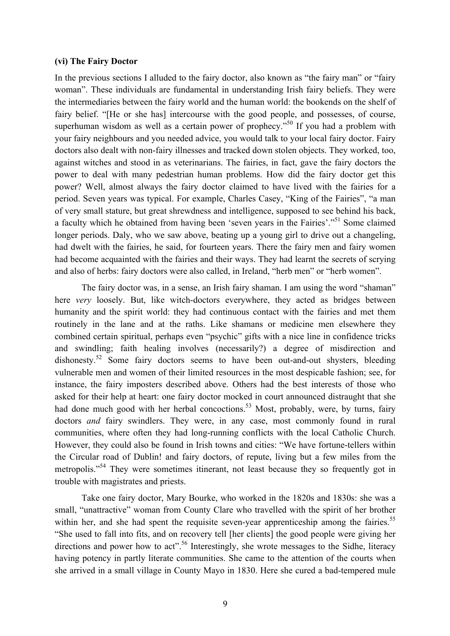### **(vi) The Fairy Doctor**

In the previous sections I alluded to the fairy doctor, also known as "the fairy man" or "fairy woman". These individuals are fundamental in understanding Irish fairy beliefs. They were the intermediaries between the fairy world and the human world: the bookends on the shelf of fairy belief. "[He or she has] intercourse with the good people, and possesses, of course, superhuman wisdom as well as a certain power of prophecy.<sup>50</sup> If you had a problem with your fairy neighbours and you needed advice, you would talk to your local fairy doctor. Fairy doctors also dealt with non-fairy illnesses and tracked down stolen objects. They worked, too, against witches and stood in as veterinarians. The fairies, in fact, gave the fairy doctors the power to deal with many pedestrian human problems. How did the fairy doctor get this power? Well, almost always the fairy doctor claimed to have lived with the fairies for a period. Seven years was typical. For example, Charles Casey, "King of the Fairies", "a man of very small stature, but great shrewdness and intelligence, supposed to see behind his back, a faculty which he obtained from having been 'seven years in the Fairies'."<sup>51</sup> Some claimed longer periods. Daly, who we saw above, beating up a young girl to drive out a changeling, had dwelt with the fairies, he said, for fourteen years. There the fairy men and fairy women had become acquainted with the fairies and their ways. They had learnt the secrets of scrying and also of herbs: fairy doctors were also called, in Ireland, "herb men" or "herb women".

The fairy doctor was, in a sense, an Irish fairy shaman. I am using the word "shaman" here *very* loosely. But, like witch-doctors everywhere, they acted as bridges between humanity and the spirit world: they had continuous contact with the fairies and met them routinely in the lane and at the raths. Like shamans or medicine men elsewhere they combined certain spiritual, perhaps even "psychic" gifts with a nice line in confidence tricks and swindling; faith healing involves (necessarily?) a degree of misdirection and dishonesty.<sup>52</sup> Some fairy doctors seems to have been out-and-out shysters, bleeding vulnerable men and women of their limited resources in the most despicable fashion; see, for instance, the fairy imposters described above. Others had the best interests of those who asked for their help at heart: one fairy doctor mocked in court announced distraught that she had done much good with her herbal concoctions.<sup>53</sup> Most, probably, were, by turns, fairy doctors *and* fairy swindlers. They were, in any case, most commonly found in rural communities, where often they had long-running conflicts with the local Catholic Church. However, they could also be found in Irish towns and cities: "We have fortune-tellers within the Circular road of Dublin! and fairy doctors, of repute, living but a few miles from the metropolis."54 They were sometimes itinerant, not least because they so frequently got in trouble with magistrates and priests.

Take one fairy doctor, Mary Bourke, who worked in the 1820s and 1830s: she was a small, "unattractive" woman from County Clare who travelled with the spirit of her brother within her, and she had spent the requisite seven-year apprenticeship among the fairies.<sup>55</sup> "She used to fall into fits, and on recovery tell [her clients] the good people were giving her directions and power how to act".<sup>56</sup> Interestingly, she wrote messages to the Sidhe, literacy having potency in partly literate communities. She came to the attention of the courts when she arrived in a small village in County Mayo in 1830. Here she cured a bad-tempered mule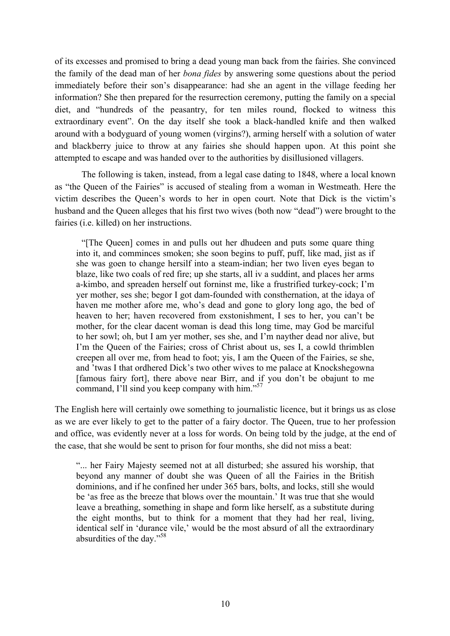of its excesses and promised to bring a dead young man back from the fairies. She convinced the family of the dead man of her *bona fides* by answering some questions about the period immediately before their son's disappearance: had she an agent in the village feeding her information? She then prepared for the resurrection ceremony, putting the family on a special diet, and "hundreds of the peasantry, for ten miles round, flocked to witness this extraordinary event". On the day itself she took a black-handled knife and then walked around with a bodyguard of young women (virgins?), arming herself with a solution of water and blackberry juice to throw at any fairies she should happen upon. At this point she attempted to escape and was handed over to the authorities by disillusioned villagers.

The following is taken, instead, from a legal case dating to 1848, where a local known as "the Queen of the Fairies" is accused of stealing from a woman in Westmeath. Here the victim describes the Queen's words to her in open court. Note that Dick is the victim's husband and the Queen alleges that his first two wives (both now "dead") were brought to the fairies (i.e. killed) on her instructions.

"[The Queen] comes in and pulls out her dhudeen and puts some quare thing into it, and comminces smoken; she soon begins to puff, puff, like mad, jist as if she was goen to change hersilf into a steam-indian; her two liven eyes began to blaze, like two coals of red fire; up she starts, all iv a suddint, and places her arms a-kimbo, and spreaden herself out forninst me, like a frustrified turkey-cock; I'm yer mother, ses she; begor I got dam-founded with consthernation, at the idaya of haven me mother afore me, who's dead and gone to glory long ago, the bed of heaven to her; haven recovered from exstonishment, I ses to her, you can't be mother, for the clear dacent woman is dead this long time, may God be marciful to her sowl; oh, but I am yer mother, ses she, and I'm nayther dead nor alive, but I'm the Queen of the Fairies; cross of Christ about us, ses I, a cowld thrimblen creepen all over me, from head to foot; yis, I am the Queen of the Fairies, se she, and 'twas I that ordhered Dick's two other wives to me palace at Knockshegowna [famous fairy fort], there above near Birr, and if you don't be obajunt to me command, I'll sind you keep company with him."<sup>57</sup>

The English here will certainly owe something to journalistic licence, but it brings us as close as we are ever likely to get to the patter of a fairy doctor. The Queen, true to her profession and office, was evidently never at a loss for words. On being told by the judge, at the end of the case, that she would be sent to prison for four months, she did not miss a beat:

"... her Fairy Majesty seemed not at all disturbed; she assured his worship, that beyond any manner of doubt she was Queen of all the Fairies in the British dominions, and if he confined her under 365 bars, bolts, and locks, still she would be 'as free as the breeze that blows over the mountain.' It was true that she would leave a breathing, something in shape and form like herself, as a substitute during the eight months, but to think for a moment that they had her real, living, identical self in 'durance vile,' would be the most absurd of all the extraordinary absurdities of the day." 58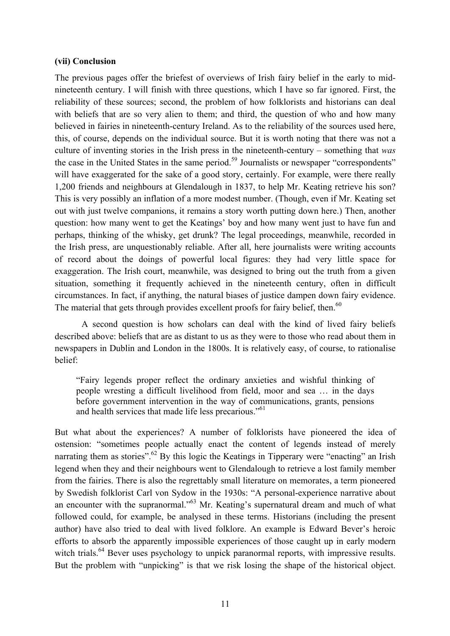### **(vii) Conclusion**

The previous pages offer the briefest of overviews of Irish fairy belief in the early to midnineteenth century. I will finish with three questions, which I have so far ignored. First, the reliability of these sources; second, the problem of how folklorists and historians can deal with beliefs that are so very alien to them; and third, the question of who and how many believed in fairies in nineteenth-century Ireland. As to the reliability of the sources used here, this, of course, depends on the individual source. But it is worth noting that there was not a culture of inventing stories in the Irish press in the nineteenth-century – something that *was* the case in the United States in the same period.<sup>59</sup> Journalists or newspaper "correspondents" will have exaggerated for the sake of a good story, certainly. For example, were there really 1,200 friends and neighbours at Glendalough in 1837, to help Mr. Keating retrieve his son? This is very possibly an inflation of a more modest number. (Though, even if Mr. Keating set out with just twelve companions, it remains a story worth putting down here.) Then, another question: how many went to get the Keatings' boy and how many went just to have fun and perhaps, thinking of the whisky, get drunk? The legal proceedings, meanwhile, recorded in the Irish press, are unquestionably reliable. After all, here journalists were writing accounts of record about the doings of powerful local figures: they had very little space for exaggeration. The Irish court, meanwhile, was designed to bring out the truth from a given situation, something it frequently achieved in the nineteenth century, often in difficult circumstances. In fact, if anything, the natural biases of justice dampen down fairy evidence. The material that gets through provides excellent proofs for fairy belief, then.<sup>60</sup>

A second question is how scholars can deal with the kind of lived fairy beliefs described above: beliefs that are as distant to us as they were to those who read about them in newspapers in Dublin and London in the 1800s. It is relatively easy, of course, to rationalise belief:

"Fairy legends proper reflect the ordinary anxieties and wishful thinking of people wresting a difficult livelihood from field, moor and sea … in the days before government intervention in the way of communications, grants, pensions and health services that made life less precarious."<sup>61</sup>

But what about the experiences? A number of folklorists have pioneered the idea of ostension: "sometimes people actually enact the content of legends instead of merely narrating them as stories".<sup>62</sup> By this logic the Keatings in Tipperary were "enacting" an Irish legend when they and their neighbours went to Glendalough to retrieve a lost family member from the fairies. There is also the regrettably small literature on memorates, a term pioneered by Swedish folklorist Carl von Sydow in the 1930s: "A personal-experience narrative about an encounter with the supranormal."<sup>63</sup> Mr. Keating's supernatural dream and much of what followed could, for example, be analysed in these terms. Historians (including the present author) have also tried to deal with lived folklore. An example is Edward Bever's heroic efforts to absorb the apparently impossible experiences of those caught up in early modern witch trials.<sup>64</sup> Bever uses psychology to unpick paranormal reports, with impressive results. But the problem with "unpicking" is that we risk losing the shape of the historical object.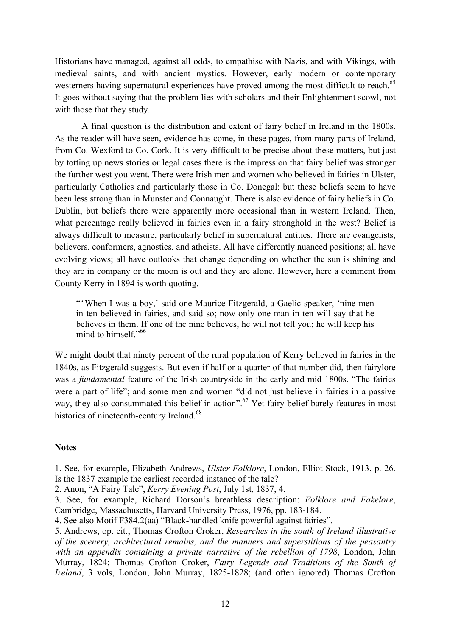Historians have managed, against all odds, to empathise with Nazis, and with Vikings, with medieval saints, and with ancient mystics. However, early modern or contemporary westerners having supernatural experiences have proved among the most difficult to reach.<sup>65</sup> It goes without saying that the problem lies with scholars and their Enlightenment scowl, not with those that they study.

A final question is the distribution and extent of fairy belief in Ireland in the 1800s. As the reader will have seen, evidence has come, in these pages, from many parts of Ireland, from Co. Wexford to Co. Cork. It is very difficult to be precise about these matters, but just by totting up news stories or legal cases there is the impression that fairy belief was stronger the further west you went. There were Irish men and women who believed in fairies in Ulster, particularly Catholics and particularly those in Co. Donegal: but these beliefs seem to have been less strong than in Munster and Connaught. There is also evidence of fairy beliefs in Co. Dublin, but beliefs there were apparently more occasional than in western Ireland. Then, what percentage really believed in fairies even in a fairy stronghold in the west? Belief is always difficult to measure, particularly belief in supernatural entities. There are evangelists, believers, conformers, agnostics, and atheists. All have differently nuanced positions; all have evolving views; all have outlooks that change depending on whether the sun is shining and they are in company or the moon is out and they are alone. However, here a comment from County Kerry in 1894 is worth quoting.

"'When I was a boy,' said one Maurice Fitzgerald, a Gaelic-speaker, 'nine men in ten believed in fairies, and said so; now only one man in ten will say that he believes in them. If one of the nine believes, he will not tell you; he will keep his mind to himself."<sup>66</sup>

We might doubt that ninety percent of the rural population of Kerry believed in fairies in the 1840s, as Fitzgerald suggests. But even if half or a quarter of that number did, then fairylore was a *fundamental* feature of the Irish countryside in the early and mid 1800s. "The fairies were a part of life"; and some men and women "did not just believe in fairies in a passive way, they also consummated this belief in action".<sup>67</sup> Yet fairy belief barely features in most histories of nineteenth-century Ireland.<sup>68</sup>

### **Notes**

1. See, for example, Elizabeth Andrews, *Ulster Folklore*, London, Elliot Stock, 1913, p. 26. Is the 1837 example the earliest recorded instance of the tale?

2. Anon, "A Fairy Tale", *Kerry Evening Post*, July 1st, 1837, 4.

3. See, for example, Richard Dorson's breathless description: *Folklore and Fakelore*, Cambridge, Massachusetts, Harvard University Press, 1976, pp. 183-184.

4. See also Motif F384.2(aa) "Black-handled knife powerful against fairies".

5. Andrews, op. cit.; Thomas Crofton Croker, *Researches in the south of Ireland illustrative of the scenery, architectural remains, and the manners and superstitions of the peasantry with an appendix containing a private narrative of the rebellion of 1798*, London, John Murray, 1824; Thomas Crofton Croker, *Fairy Legends and Traditions of the South of Ireland*, 3 vols, London, John Murray, 1825-1828; (and often ignored) Thomas Crofton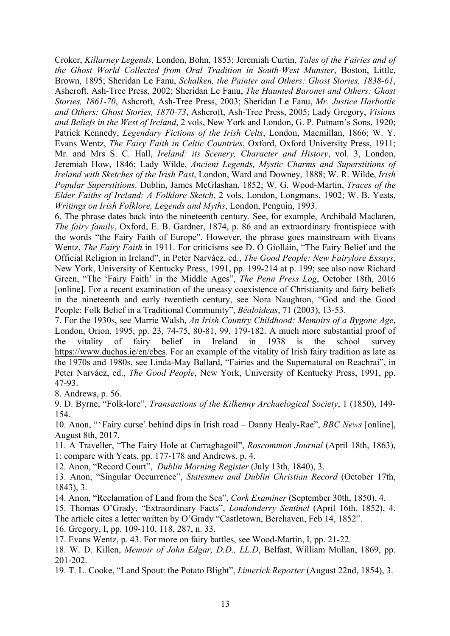Croker, *Killarney Legends*, London, Bohn, 1853; Jeremiah Curtin, *Tales of the Fairies and of the Ghost World Collected from Oral Tradition in South-West Munster*, Boston, Little, Brown, 1895; Sheridan Le Fanu, *Schalken, the Painter and Others: Ghost Stories, 1838-61*, Ashcroft, Ash-Tree Press, 2002; Sheridan Le Fanu, *The Haunted Baronet and Others: Ghost Stories, 1861-70*, Ashcroft, Ash-Tree Press, 2003; Sheridan Le Fanu, *Mr. Justice Harbottle and Others: Ghost Stories, 1870-73*, Ashcroft, Ash-Tree Press, 2005; Lady Gregory, *Visions and Beliefs in the West of Ireland*, 2 vols, New York and London, G. P. Putnam's Sons, 1920; Patrick Kennedy, *Legendary Fictions of the Irish Celts*, London, Macmillan, 1866; W. Y. Evans Wentz, *The Fairy Faith in Celtic Countries*, Oxford, Oxford University Press, 1911; Mr. and Mrs S. C. Hall, *Ireland: its Scenery, Character and History*, vol. 3, London, Jeremiah How, 1846; Lady Wilde, *Ancient Legends, Mystic Charms and Superstitions of Ireland with Sketches of the Irish Past*, London, Ward and Downey, 1888; W. R. Wilde, *Irish Popular Superstitions*. Dublin, James McGlashan, 1852; W. G. Wood-Martin, *Traces of the Elder Faiths of Ireland: A Folklore Sketch*, 2 vols, London, Longmans, 1902; W. B. Yeats, *Writings on Irish Folklore, Legends and Myths*, London, Penguin, 1993.

6. The phrase dates back into the nineteenth century. See, for example, Archibald Maclaren, *The fairy family*, Oxford, E. B. Gardner, 1874, p. 86 and an extraordinary frontispiece with the words "the Fairy Faith of Europe". However, the phrase goes mainstream with Evans Wentz, *The Fairy Faith* in 1911. For criticisms see D. Ó Giolláin, "The Fairy Belief and the Official Religion in Ireland", in Peter Narváez, ed., *The Good People: New Fairylore Essays*, New York, University of Kentucky Press, 1991, pp. 199-214 at p. 199; see also now Richard Green, "The 'Fairy Faith' in the Middle Ages", *The Penn Press Log*, October 18th, 2016 [online]. For a recent examination of the uneasy coexistence of Christianity and fairy beliefs in the nineteenth and early twentieth century, see Nora Naughton, "God and the Good People: Folk Belief in a Traditional Community", *Béaloideas*, 71 (2003), 13-53.

7. For the 1930s, see Marrie Walsh, *An Irish Country Childhood: Memoirs of a Bygone Age*, London, Orion, 1995, pp. 23, 74-75, 80-81, 99, 179-182. A much more substantial proof of the vitality of fairy belief in Ireland in 1938 is the school survey https://www.duchas.ie/en/cbes. For an example of the vitality of Irish fairy tradition as late as the 1970s and 1980s, see Linda-May Ballard, "Fairies and the Supernatural on Reachrai", in Peter Narváez, ed., *The Good People*, New York, University of Kentucky Press, 1991, pp. 47-93.

8. Andrews, p. 56.

9. D. Byrne, "Folk-lore", *Transactions of the Kilkenny Archaelogical Society*, 1 (1850), 149- 154.

10. Anon, "'Fairy curse' behind dips in Irish road – Danny Healy-Rae", *BBC News* [online], August 8th, 2017.

11. A Traveller, "The Fairy Hole at Curraghagoil", *Roscommon Journal* (April 18th, 1863), 1: compare with Yeats, pp. 177-178 and Andrews, p. 4.

12. Anon, "Record Court", *Dublin Morning Register* (July 13th, 1840), 3.

13. Anon, "Singular Occurrence", *Statesmen and Dublin Christian Record* (October 17th, 1843), 3.

- 14. Anon, "Reclamation of Land from the Sea", *Cork Examiner* (September 30th, 1850), 4.
- 15. Thomas O'Grady, "Extraordinary Facts", *Londonderry Sentinel* (April 16th, 1852), 4.

The article cites a letter written by O'Grady "Castletown, Berehaven, Feb 14, 1852".

16. Gregory, I, pp. 109-110, 118, 287, n. 33.

17. Evans Wentz, p. 43. For more on fairy battles, see Wood-Martin, I, pp. 21-22.

18. W. D. Killen, *Memoir of John Edgar, D.D., LL.D*, Belfast, William Mullan, 1869, pp. 201-202.

19. T. L. Cooke, "Land Spout: the Potato Blight", *Limerick Reporter* (August 22nd, 1854), 3.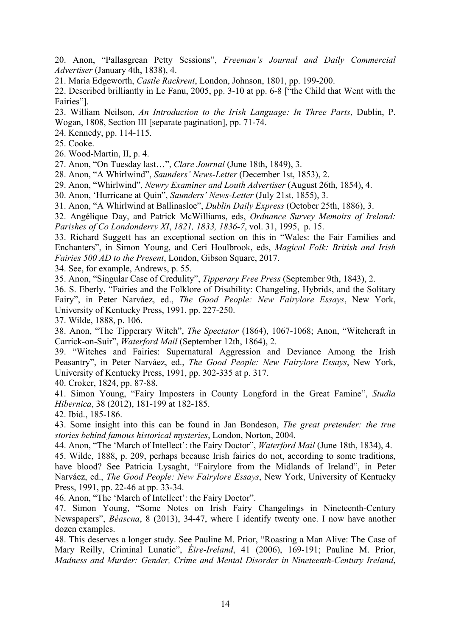20. Anon, "Pallasgrean Petty Sessions", *Freeman's Journal and Daily Commercial Advertiser* (January 4th, 1838), 4.

21. Maria Edgeworth, *Castle Rackrent*, London, Johnson, 1801, pp. 199-200.

22. Described brilliantly in Le Fanu, 2005, pp. 3-10 at pp. 6-8 ["the Child that Went with the Fairies"].

23. William Neilson, *An Introduction to the Irish Language: In Three Parts*, Dublin, P. Wogan, 1808, Section III [separate pagination], pp. 71-74.

24. Kennedy, pp. 114-115.

25. Cooke.

26. Wood-Martin, II, p. 4.

27. Anon, "On Tuesday last…", *Clare Journal* (June 18th, 1849), 3.

28. Anon, "A Whirlwind", *Saunders' News-Letter* (December 1st, 1853), 2.

29. Anon, "Whirlwind", *Newry Examiner and Louth Advertiser* (August 26th, 1854), 4.

30. Anon, 'Hurricane at Quin", *Saunders' News-Letter* (July 21st, 1855), 3.

31. Anon, "A Whirlwind at Ballinasloe", *Dublin Daily Express* (October 25th, 1886), 3.

32. Angélique Day, and Patrick McWilliams, eds, *Ordnance Survey Memoirs of Ireland: Parishes of Co Londonderry XI*, *1821, 1833, 1836-7*, vol. 31, 1995, p. 15.

33. Richard Suggett has an exceptional section on this in "Wales: the Fair Families and Enchanters", in Simon Young, and Ceri Houlbrook, eds, *Magical Folk: British and Irish Fairies 500 AD to the Present*, London, Gibson Square, 2017.

34. See, for example, Andrews, p. 55.

35. Anon, "Singular Case of Credulity", *Tipperary Free Press* (September 9th, 1843), 2.

36. S. Eberly, "Fairies and the Folklore of Disability: Changeling, Hybrids, and the Solitary Fairy", in Peter Narváez, ed., *The Good People: New Fairylore Essays*, New York, University of Kentucky Press, 1991, pp. 227-250.

37. Wilde, 1888, p. 106.

38. Anon, "The Tipperary Witch", *The Spectator* (1864), 1067-1068; Anon, "Witchcraft in Carrick-on-Suir", *Waterford Mail* (September 12th, 1864), 2.

39. "Witches and Fairies: Supernatural Aggression and Deviance Among the Irish Peasantry", in Peter Narváez, ed., *The Good People: New Fairylore Essays*, New York, University of Kentucky Press, 1991, pp. 302-335 at p. 317.

40. Croker, 1824, pp. 87-88.

41. Simon Young, "Fairy Imposters in County Longford in the Great Famine", *Studia Hibernica*, 38 (2012), 181-199 at 182-185.

42. Ibid., 185-186.

43. Some insight into this can be found in Jan Bondeson, *The great pretender: the true stories behind famous historical mysteries*, London, Norton, 2004.

44. Anon, "The 'March of Intellect': the Fairy Doctor", *Waterford Mail* (June 18th, 1834), 4.

45. Wilde, 1888, p. 209, perhaps because Irish fairies do not, according to some traditions, have blood? See Patricia Lysaght, "Fairylore from the Midlands of Ireland", in Peter Narváez, ed., *The Good People: New Fairylore Essays*, New York, University of Kentucky Press, 1991, pp. 22-46 at pp. 33-34.

46. Anon, "The 'March of Intellect': the Fairy Doctor".

47. Simon Young, "Some Notes on Irish Fairy Changelings in Nineteenth-Century Newspapers", *Béascna*, 8 (2013), 34-47, where I identify twenty one. I now have another dozen examples.

48. This deserves a longer study. See Pauline M. Prior, "Roasting a Man Alive: The Case of Mary Reilly, Criminal Lunatic", *Éire-Ireland*, 41 (2006), 169-191; Pauline M. Prior, *Madness and Murder: Gender, Crime and Mental Disorder in Nineteenth-Century Ireland*,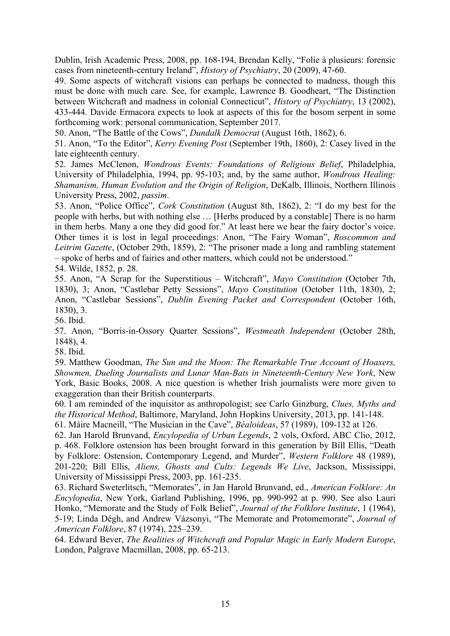Dublin, Irish Academic Press, 2008, pp. 168-194, Brendan Kelly, "Folie à plusieurs: forensic cases from nineteenth-century Ireland", *History of Psychiatry*, 20 (2009), 47-60.

49. Some aspects of witchcraft visions can perhaps be connected to madness, though this must be done with much care. See, for example, Lawrence B. Goodheart, "The Distinction between Witchcraft and madness in colonial Connecticut", *History of Psychiatry*, 13 (2002), 433-444. Davide Ermacora expects to look at aspects of this for the bosom serpent in some forthcoming work: personal communication, September 2017.

50. Anon, "The Battle of the Cows", *Dundalk Democrat* (August 16th, 1862), 6.

51. Anon, "To the Editor", *Kerry Evening Post* (September 19th, 1860), 2: Casey lived in the late eighteenth century.

52. James McClenon, *Wondrous Events: Foundations of Religious Belief*, Philadelphia, University of Philadelphia, 1994, pp. 95-103; and, by the same author, *Wondrous Healing: Shamanism, Human Evolution and the Origin of Religion*, DeKalb, Illinois, Northern Illinois University Press, 2002, *passim*.

53. Anon, "Police Office", *Cork Constitution* (August 8th, 1862), 2: "I do my best for the people with herbs, but with nothing else … [Herbs produced by a constable] There is no harm in them herbs. Many a one they did good for." At least here we hear the fairy doctor's voice. Other times it is lost in legal proceedings: Anon, "The Fairy Woman", *Roscommon and Leitrim Gazette*, (October 29th, 1859), 2: "The prisoner made a long and rambling statement – spoke of herbs and of fairies and other matters, which could not be understood."

54. Wilde, 1852, p. 28.

55. Anon, "A Scrap for the Superstitious – Witchcraft", *Mayo Constitution* (October 7th, 1830), 3; Anon, "Castlebar Petty Sessions", *Mayo Constitution* (October 11th, 1830), 2; Anon, "Castlebar Sessions", *Dublin Evening Packet and Correspondent* (October 16th, 1830), 3.

56. Ibid.

57. Anon, "Borris-in-Ossory Quarter Sessions", *Westmeath Independent* (October 28th, 1848), 4.

58. Ibid.

59. Matthew Goodman, *The Sun and the Moon: The Remarkable True Account of Hoaxers, Showmen, Dueling Journalists and Lunar Man-Bats in Nineteenth-Century New York*, New York, Basic Books, 2008. A nice question is whether Irish journalists were more given to exaggeration than their British counterparts.

60. I am reminded of the inquisitor as anthropologist; see Carlo Ginzburg, *Clues, Myths and the Historical Method*, Baltimore, Maryland, John Hopkins University, 2013, pp. 141-148.

61. Máire Macneill, "The Musician in the Cave", *Béaloideas*, 57 (1989), 109-132 at 126.

62. Jan Harold Brunvand, *Encylopedia of Urban Legends*, 2 vols, Oxford, ABC Clio, 2012, p. 468. Folklore ostension has been brought forward in this generation by Bill Ellis, "Death by Folklore: Ostension, Contemporary Legend, and Murder", *Western Folklore* 48 (1989), 201-220; Bill Ellis, *Aliens, Ghosts and Cults: Legends We Live*, Jackson, Mississippi, University of Mississippi Press, 2003, pp. 161-235.

63. Richard Sweterlitsch, "Memorates", in Jan Harold Brunvand, ed., *American Folklore: An Encylopedia*, New York, Garland Publishing, 1996, pp. 990-992 at p. 990. See also Lauri Honko, "Memorate and the Study of Folk Belief", *Journal of the Folklore Institute*, 1 (1964), 5-19; Linda Dégh, and Andrew Vázsonyi, "The Memorate and Protomemorate", *Journal of American Folklore*, 87 (1974), 225–239.

64. Edward Bever, *The Realities of Witchcraft and Popular Magic in Early Modern Europe*, London, Palgrave Macmillan, 2008, pp. 65-213.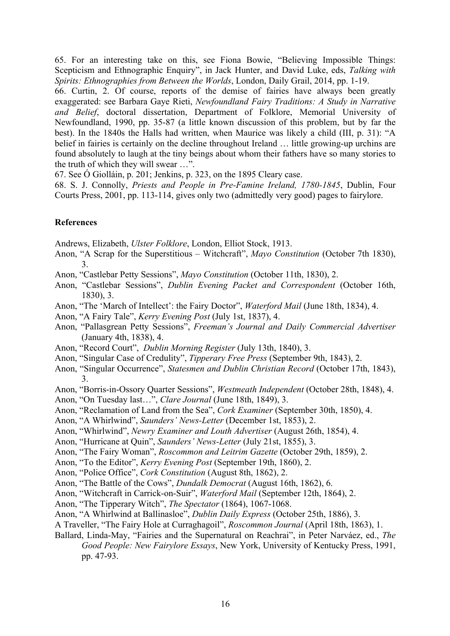65. For an interesting take on this, see Fiona Bowie, "Believing Impossible Things: Scepticism and Ethnographic Enquiry", in Jack Hunter, and David Luke, eds, *Talking with Spirits: Ethnographies from Between the Worlds*, London, Daily Grail, 2014, pp. 1-19.

66. Curtin, 2. Of course, reports of the demise of fairies have always been greatly exaggerated: see Barbara Gaye Rieti, *Newfoundland Fairy Traditions: A Study in Narrative and Belief*, doctoral dissertation, Department of Folklore, Memorial University of Newfoundland, 1990, pp. 35-87 (a little known discussion of this problem, but by far the best). In the 1840s the Halls had written, when Maurice was likely a child (III, p. 31): "A belief in fairies is certainly on the decline throughout Ireland … little growing-up urchins are found absolutely to laugh at the tiny beings about whom their fathers have so many stories to the truth of which they will swear …".

67. See Ó Giolláin, p. 201; Jenkins, p. 323, on the 1895 Cleary case.

68. S. J. Connolly, *Priests and People in Pre-Famine Ireland, 1780-1845*, Dublin, Four Courts Press, 2001, pp. 113-114, gives only two (admittedly very good) pages to fairylore.

## **References**

Andrews, Elizabeth, *Ulster Folklore*, London, Elliot Stock, 1913.

- Anon, "A Scrap for the Superstitious Witchcraft", *Mayo Constitution* (October 7th 1830), 3.
- Anon, "Castlebar Petty Sessions", *Mayo Constitution* (October 11th, 1830), 2.
- Anon, "Castlebar Sessions", *Dublin Evening Packet and Correspondent* (October 16th, 1830), 3.
- Anon, "The 'March of Intellect': the Fairy Doctor", *Waterford Mail* (June 18th, 1834), 4.
- Anon, "A Fairy Tale", *Kerry Evening Post* (July 1st, 1837), 4.
- Anon, "Pallasgrean Petty Sessions", *Freeman's Journal and Daily Commercial Advertiser* (January 4th, 1838), 4.
- Anon, "Record Court", *Dublin Morning Register* (July 13th, 1840), 3.
- Anon, "Singular Case of Credulity", *Tipperary Free Press* (September 9th, 1843), 2.
- Anon, "Singular Occurrence", *Statesmen and Dublin Christian Record* (October 17th, 1843), 3.
- Anon, "Borris-in-Ossory Quarter Sessions", *Westmeath Independent* (October 28th, 1848), 4.
- Anon, "On Tuesday last…", *Clare Journal* (June 18th, 1849), 3.
- Anon, "Reclamation of Land from the Sea", *Cork Examiner* (September 30th, 1850), 4.
- Anon, "A Whirlwind", *Saunders' News-Letter* (December 1st, 1853), 2.
- Anon, "Whirlwind", *Newry Examiner and Louth Advertiser* (August 26th, 1854), 4.
- Anon, "Hurricane at Quin", *Saunders' News-Letter* (July 21st, 1855), 3.
- Anon, "The Fairy Woman", *Roscommon and Leitrim Gazette* (October 29th, 1859), 2.
- Anon, "To the Editor", *Kerry Evening Post* (September 19th, 1860), 2.
- Anon, "Police Office", *Cork Constitution* (August 8th, 1862), 2.
- Anon, "The Battle of the Cows", *Dundalk Democrat* (August 16th, 1862), 6.
- Anon, "Witchcraft in Carrick-on-Suir", *Waterford Mail* (September 12th, 1864), 2.
- Anon, "The Tipperary Witch", *The Spectator* (1864), 1067-1068.
- Anon, "A Whirlwind at Ballinasloe", *Dublin Daily Express* (October 25th, 1886), 3.
- A Traveller, "The Fairy Hole at Curraghagoil", *Roscommon Journal* (April 18th, 1863), 1.
- Ballard, Linda-May, "Fairies and the Supernatural on Reachrai", in Peter Narváez, ed., *The Good People: New Fairylore Essays*, New York, University of Kentucky Press, 1991, pp. 47-93.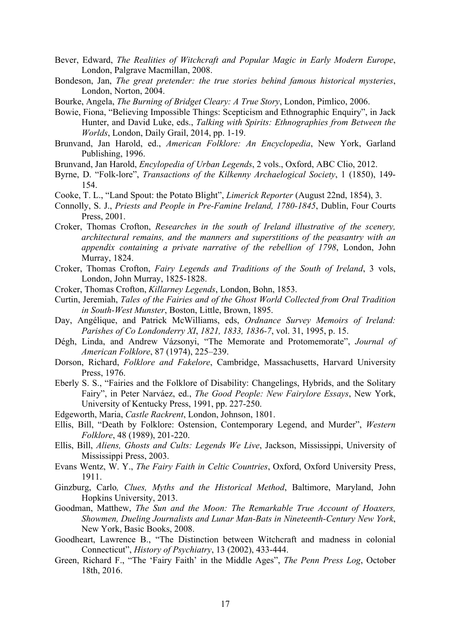- Bever, Edward, *The Realities of Witchcraft and Popular Magic in Early Modern Europe*, London, Palgrave Macmillan, 2008.
- Bondeson, Jan, *The great pretender: the true stories behind famous historical mysteries*, London, Norton, 2004.
- Bourke, Angela, *The Burning of Bridget Cleary: A True Story*, London, Pimlico, 2006.
- Bowie, Fiona, "Believing Impossible Things: Scepticism and Ethnographic Enquiry", in Jack Hunter, and David Luke, eds., *Talking with Spirits: Ethnographies from Between the Worlds*, London, Daily Grail, 2014, pp. 1-19.
- Brunvand, Jan Harold, ed., *American Folklore: An Encyclopedia*, New York, Garland Publishing, 1996.
- Brunvand, Jan Harold, *Encylopedia of Urban Legends*, 2 vols., Oxford, ABC Clio, 2012.
- Byrne, D. "Folk-lore", *Transactions of the Kilkenny Archaelogical Society*, 1 (1850), 149- 154.
- Cooke, T. L., "Land Spout: the Potato Blight", *Limerick Reporter* (August 22nd, 1854), 3.
- Connolly, S. J., *Priests and People in Pre-Famine Ireland, 1780-1845*, Dublin, Four Courts Press, 2001.
- Croker, Thomas Crofton, *Researches in the south of Ireland illustrative of the scenery, architectural remains, and the manners and superstitions of the peasantry with an appendix containing a private narrative of the rebellion of 1798*, London, John Murray, 1824.
- Croker, Thomas Crofton, *Fairy Legends and Traditions of the South of Ireland*, 3 vols, London, John Murray, 1825-1828.
- Croker, Thomas Crofton, *Killarney Legends*, London, Bohn, 1853.
- Curtin, Jeremiah, *Tales of the Fairies and of the Ghost World Collected from Oral Tradition in South-West Munster*, Boston, Little, Brown, 1895.
- Day, Angélique, and Patrick McWilliams, eds, *Ordnance Survey Memoirs of Ireland: Parishes of Co Londonderry XI*, *1821, 1833, 1836-7*, vol. 31, 1995, p. 15.
- Dégh, Linda, and Andrew Vázsonyi, "The Memorate and Protomemorate", *Journal of American Folklore*, 87 (1974), 225–239.
- Dorson, Richard, *Folklore and Fakelore*, Cambridge, Massachusetts, Harvard University Press, 1976.
- Eberly S. S., "Fairies and the Folklore of Disability: Changelings, Hybrids, and the Solitary Fairy", in Peter Narváez, ed., *The Good People: New Fairylore Essays*, New York, University of Kentucky Press, 1991, pp. 227-250.
- Edgeworth, Maria, *Castle Rackrent*, London, Johnson, 1801.
- Ellis, Bill, "Death by Folklore: Ostension, Contemporary Legend, and Murder", *Western Folklore*, 48 (1989), 201-220.
- Ellis, Bill, *Aliens, Ghosts and Cults: Legends We Live*, Jackson, Mississippi, University of Mississippi Press, 2003.
- Evans Wentz, W. Y., *The Fairy Faith in Celtic Countries*, Oxford, Oxford University Press, 1911.
- Ginzburg, Carlo*, Clues, Myths and the Historical Method*, Baltimore, Maryland, John Hopkins University, 2013.
- Goodman, Matthew, *The Sun and the Moon: The Remarkable True Account of Hoaxers, Showmen, Dueling Journalists and Lunar Man-Bats in Nineteenth-Century New York*, New York, Basic Books, 2008.
- Goodheart, Lawrence B., "The Distinction between Witchcraft and madness in colonial Connecticut", *History of Psychiatry*, 13 (2002), 433-444.
- Green, Richard F., "The 'Fairy Faith' in the Middle Ages", *The Penn Press Log*, October 18th, 2016.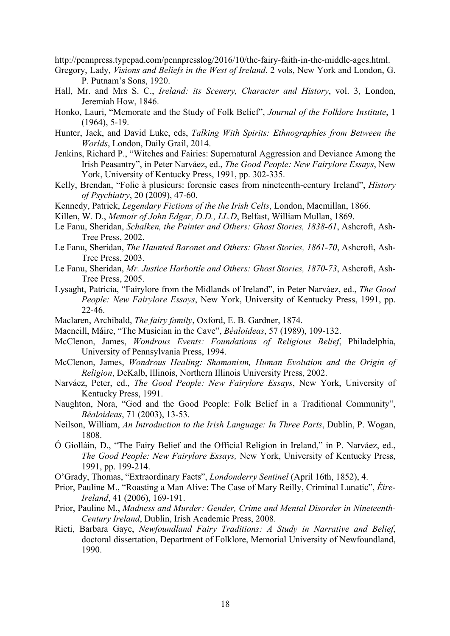http://pennpress.typepad.com/pennpresslog/2016/10/the-fairy-faith-in-the-middle-ages.html.

- Gregory, Lady, *Visions and Beliefs in the West of Ireland*, 2 vols, New York and London, G. P. Putnam's Sons, 1920.
- Hall, Mr. and Mrs S. C., *Ireland: its Scenery, Character and History*, vol. 3, London, Jeremiah How, 1846.
- Honko, Lauri, "Memorate and the Study of Folk Belief", *Journal of the Folklore Institute*, 1 (1964), 5-19.
- Hunter, Jack, and David Luke, eds, *Talking With Spirits: Ethnographies from Between the Worlds*, London, Daily Grail, 2014.
- Jenkins, Richard P., "Witches and Fairies: Supernatural Aggression and Deviance Among the Irish Peasantry", in Peter Narváez, ed., *The Good People: New Fairylore Essays*, New York, University of Kentucky Press, 1991, pp. 302-335.
- Kelly, Brendan, "Folie à plusieurs: forensic cases from nineteenth-century Ireland", *History of Psychiatry*, 20 (2009), 47-60.
- Kennedy, Patrick, *Legendary Fictions of the the Irish Celts*, London, Macmillan, 1866.
- Killen, W. D., *Memoir of John Edgar, D.D., LL.D*, Belfast, William Mullan, 1869.
- Le Fanu, Sheridan, *Schalken, the Painter and Others: Ghost Stories, 1838-61*, Ashcroft, Ash-Tree Press, 2002.
- Le Fanu, Sheridan, *The Haunted Baronet and Others: Ghost Stories, 1861-70*, Ashcroft, Ash-Tree Press, 2003.
- Le Fanu, Sheridan, *Mr. Justice Harbottle and Others: Ghost Stories, 1870-73*, Ashcroft, Ash-Tree Press, 2005.
- Lysaght, Patricia, "Fairylore from the Midlands of Ireland", in Peter Narváez, ed., *The Good People: New Fairylore Essays*, New York, University of Kentucky Press, 1991, pp. 22-46.
- Maclaren, Archibald, *The fairy family*, Oxford, E. B. Gardner, 1874.
- Macneill, Máire, "The Musician in the Cave", *Béaloideas*, 57 (1989), 109-132.
- McClenon, James, *Wondrous Events: Foundations of Religious Belief*, Philadelphia, University of Pennsylvania Press, 1994.
- McClenon, James, *Wondrous Healing: Shamanism, Human Evolution and the Origin of Religion*, DeKalb, Illinois, Northern Illinois University Press, 2002.
- Narváez, Peter, ed., *The Good People: New Fairylore Essays*, New York, University of Kentucky Press, 1991.
- Naughton, Nora, "God and the Good People: Folk Belief in a Traditional Community", *Béaloideas*, 71 (2003), 13-53.
- Neilson, William, *An Introduction to the Irish Language: In Three Parts*, Dublin, P. Wogan, 1808.
- Ó Giolláin, D., "The Fairy Belief and the Official Religion in Ireland," in P. Narváez, ed., *The Good People: New Fairylore Essays,* New York, University of Kentucky Press, 1991, pp. 199-214.
- O'Grady, Thomas, "Extraordinary Facts", *Londonderry Sentinel* (April 16th, 1852), 4.
- Prior, Pauline M., "Roasting a Man Alive: The Case of Mary Reilly, Criminal Lunatic", *Éire-Ireland*, 41 (2006), 169-191.
- Prior, Pauline M., *Madness and Murder: Gender, Crime and Mental Disorder in Nineteenth-Century Ireland*, Dublin, Irish Academic Press, 2008.
- Rieti, Barbara Gaye, *Newfoundland Fairy Traditions: A Study in Narrative and Belief*, doctoral dissertation, Department of Folklore, Memorial University of Newfoundland, 1990.